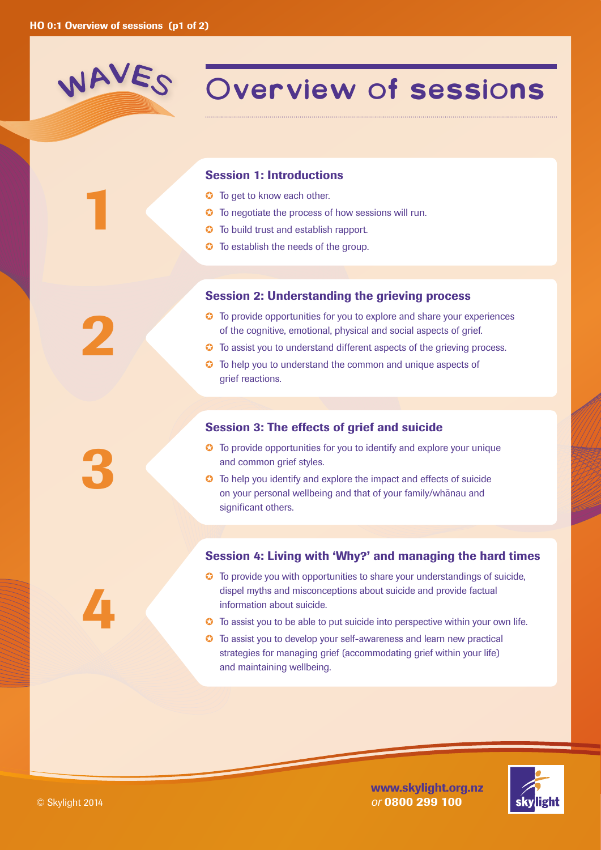## WAVES

1

2

### **Overview of sessions**

### Session 1: Introductions

- **G** To get to know each other.
- ✪ To negotiate the process of how sessions will run.
- ✪ To build trust and establish rapport.
- $\bullet$  To establish the needs of the group.

### Session 2: Understanding the grieving process

- ✪ To provide opportunities for you to explore and share your experiences of the cognitive, emotional, physical and social aspects of grief.
- ✪ To assist you to understand different aspects of the grieving process.
- ✪ To help you to understand the common and unique aspects of grief reactions.

### Session 3: The effects of grief and suicide

- ✪ To provide opportunities for you to identify and explore your unique and common grief styles.
- ✪ To help you identify and explore the impact and effects of suicide on your personal wellbeing and that of your family/whanau and significant others.

### Session 4: Living with 'Why?' and managing the hard times

- ✪ To provide you with opportunities to share your understandings of suicide, dispel myths and misconceptions about suicide and provide factual information about suicide.
- ✪ To assist you to be able to put suicide into perspective within your own life.
- ✪ To assist you to develop your self-awareness and learn new practical strategies for managing grief (accommodating grief within your life) and maintaining wellbeing.





4